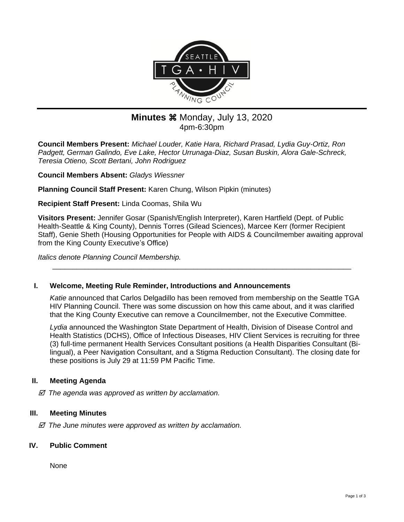

# **Minutes**  $%$  **Monday, July 13, 2020** 4pm-6:30pm

**Council Members Present:** *Michael Louder, Katie Hara, Richard Prasad, Lydia Guy-Ortiz, Ron Padgett, German Galindo, Eve Lake, Hector Urrunaga-Diaz, Susan Buskin, Alora Gale-Schreck, Teresia Otieno, Scott Bertani, John Rodriguez*

**Council Members Absent:** *Gladys Wiessner*

**Planning Council Staff Present:** Karen Chung, Wilson Pipkin (minutes)

**Recipient Staff Present:** Linda Coomas, Shila Wu

**Visitors Present:** Jennifer Gosar (Spanish/English Interpreter), Karen Hartfield (Dept. of Public Health-Seattle & King County), Dennis Torres (Gilead Sciences), Marcee Kerr (former Recipient Staff), Genie Sheth (Housing Opportunities for People with AIDS & Councilmember awaiting approval from the King County Executive's Office)

\_\_\_\_\_\_\_\_\_\_\_\_\_\_\_\_\_\_\_\_\_\_\_\_\_\_\_\_\_\_\_\_\_\_\_\_\_\_\_\_\_\_\_\_\_\_\_\_\_\_\_\_\_\_\_\_\_\_\_\_\_\_\_\_\_\_\_\_\_\_\_\_\_\_

*Italics denote Planning Council Membership.* 

#### **I. Welcome, Meeting Rule Reminder, Introductions and Announcements**

*Katie* announced that Carlos Delgadillo has been removed from membership on the Seattle TGA HIV Planning Council. There was some discussion on how this came about, and it was clarified that the King County Executive can remove a Councilmember, not the Executive Committee.

*Lydia* announced the Washington State Department of Health, Division of Disease Control and Health Statistics (DCHS), Office of Infectious Diseases, HIV Client Services is recruiting for three (3) full-time permanent Health Services Consultant positions (a Health Disparities Consultant (Bilingual), a Peer Navigation Consultant, and a Stigma Reduction Consultant). The closing date for these positions is July 29 at 11:59 PM Pacific Time.

## **II. Meeting Agenda**

 *The agenda was approved as written by acclamation.*

## **III. Meeting Minutes**

 *The June minutes were approved as written by acclamation.*

#### **IV. Public Comment**

None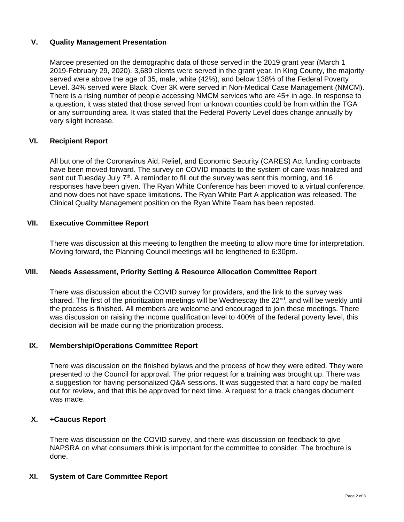## **V. Quality Management Presentation**

Marcee presented on the demographic data of those served in the 2019 grant year (March 1 2019-February 29, 2020). 3,689 clients were served in the grant year. In King County, the majority served were above the age of 35, male, white (42%), and below 138% of the Federal Poverty Level. 34% served were Black. Over 3K were served in Non-Medical Case Management (NMCM). There is a rising number of people accessing NMCM services who are 45+ in age. In response to a question, it was stated that those served from unknown counties could be from within the TGA or any surrounding area. It was stated that the Federal Poverty Level does change annually by very slight increase.

### **VI. Recipient Report**

All but one of the Coronavirus Aid, Relief, and Economic Security (CARES) Act funding contracts have been moved forward. The survey on COVID impacts to the system of care was finalized and sent out Tuesday July  $7<sup>th</sup>$ . A reminder to fill out the survey was sent this morning, and 16 responses have been given. The Ryan White Conference has been moved to a virtual conference, and now does not have space limitations. The Ryan White Part A application was released. The Clinical Quality Management position on the Ryan White Team has been reposted.

### **VII. Executive Committee Report**

There was discussion at this meeting to lengthen the meeting to allow more time for interpretation. Moving forward, the Planning Council meetings will be lengthened to 6:30pm.

## **VIII. Needs Assessment, Priority Setting & Resource Allocation Committee Report**

There was discussion about the COVID survey for providers, and the link to the survey was shared. The first of the prioritization meetings will be Wednesday the  $22<sup>nd</sup>$ , and will be weekly until the process is finished. All members are welcome and encouraged to join these meetings. There was discussion on raising the income qualification level to 400% of the federal poverty level, this decision will be made during the prioritization process.

## **IX. Membership/Operations Committee Report**

There was discussion on the finished bylaws and the process of how they were edited. They were presented to the Council for approval. The prior request for a training was brought up. There was a suggestion for having personalized Q&A sessions. It was suggested that a hard copy be mailed out for review, and that this be approved for next time. A request for a track changes document was made.

## **X. +Caucus Report**

There was discussion on the COVID survey, and there was discussion on feedback to give NAPSRA on what consumers think is important for the committee to consider. The brochure is done.

### **XI. System of Care Committee Report**